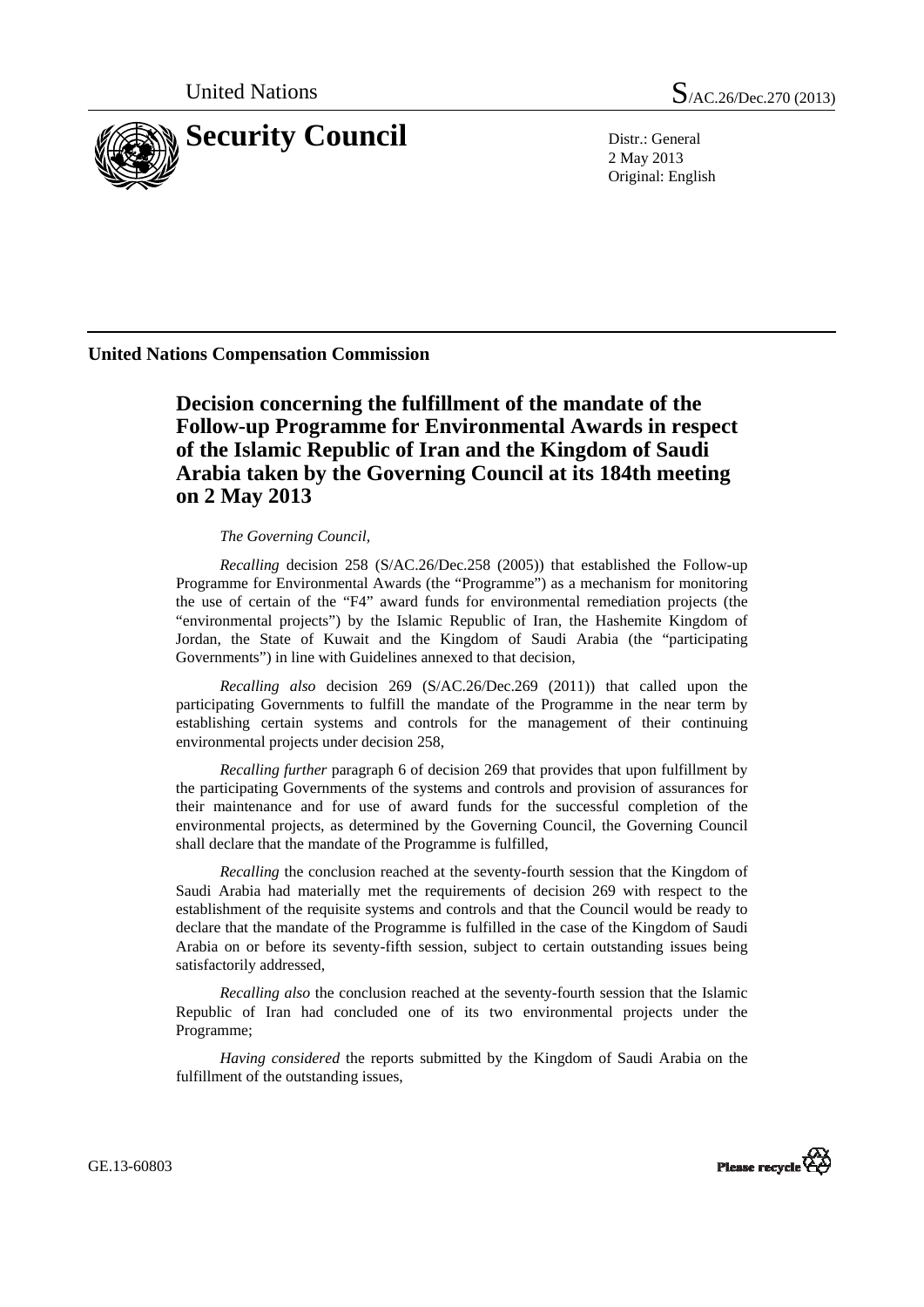

United Nations  $S_{/AC.26/Dec.270 (2013)}$ 

2 May 2013 Original: English

**United Nations Compensation Commission** 

 **Decision concerning the fulfillment of the mandate of the Follow-up Programme for Environmental Awards in respect of the Islamic Republic of Iran and the Kingdom of Saudi Arabia taken by the Governing Council at its 184th meeting on 2 May 2013** 

## *The Governing Council,*

*Recalling* decision 258 (S/AC.26/Dec.258 (2005)) that established the Follow-up Programme for Environmental Awards (the "Programme") as a mechanism for monitoring the use of certain of the "F4" award funds for environmental remediation projects (the "environmental projects") by the Islamic Republic of Iran, the Hashemite Kingdom of Jordan, the State of Kuwait and the Kingdom of Saudi Arabia (the "participating Governments") in line with Guidelines annexed to that decision,

*Recalling also* decision 269 (S/AC.26/Dec.269 (2011)) that called upon the participating Governments to fulfill the mandate of the Programme in the near term by establishing certain systems and controls for the management of their continuing environmental projects under decision 258,

*Recalling further* paragraph 6 of decision 269 that provides that upon fulfillment by the participating Governments of the systems and controls and provision of assurances for their maintenance and for use of award funds for the successful completion of the environmental projects, as determined by the Governing Council, the Governing Council shall declare that the mandate of the Programme is fulfilled,

*Recalling* the conclusion reached at the seventy-fourth session that the Kingdom of Saudi Arabia had materially met the requirements of decision 269 with respect to the establishment of the requisite systems and controls and that the Council would be ready to declare that the mandate of the Programme is fulfilled in the case of the Kingdom of Saudi Arabia on or before its seventy-fifth session, subject to certain outstanding issues being satisfactorily addressed,

*Recalling also* the conclusion reached at the seventy-fourth session that the Islamic Republic of Iran had concluded one of its two environmental projects under the Programme;

*Having considered* the reports submitted by the Kingdom of Saudi Arabia on the fulfillment of the outstanding issues,



GE.13-60803